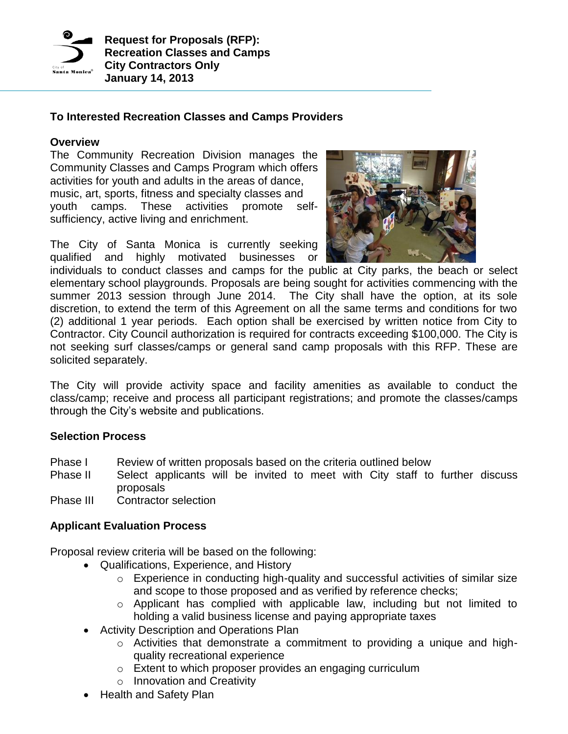

# **To Interested Recreation Classes and Camps Providers**

#### **Overview**

The Community Recreation Division manages the Community Classes and Camps Program which offers activities for youth and adults in the areas of dance, music, art, sports, fitness and specialty classes and youth camps. These activities promote selfsufficiency, active living and enrichment.

The City of Santa Monica is currently seeking qualified and highly motivated businesses or



individuals to conduct classes and camps for the public at City parks, the beach or select elementary school playgrounds. Proposals are being sought for activities commencing with the summer 2013 session through June 2014. The City shall have the option, at its sole discretion, to extend the term of this Agreement on all the same terms and conditions for two (2) additional 1 year periods. Each option shall be exercised by written notice from City to Contractor. City Council authorization is required for contracts exceeding \$100,000. The City is not seeking surf classes/camps or general sand camp proposals with this RFP. These are solicited separately.

The City will provide activity space and facility amenities as available to conduct the class/camp; receive and process all participant registrations; and promote the classes/camps through the City's website and publications.

## **Selection Process**

- Phase I Review of written proposals based on the criteria outlined below
- Phase II Select applicants will be invited to meet with City staff to further discuss proposals
- Phase III Contractor selection

## **Applicant Evaluation Process**

Proposal review criteria will be based on the following:

- Qualifications, Experience, and History
	- o Experience in conducting high-quality and successful activities of similar size and scope to those proposed and as verified by reference checks;
	- o Applicant has complied with applicable law, including but not limited to holding a valid business license and paying appropriate taxes
- Activity Description and Operations Plan
	- o Activities that demonstrate a commitment to providing a unique and highquality recreational experience
	- o Extent to which proposer provides an engaging curriculum
	- o Innovation and Creativity
- Health and Safety Plan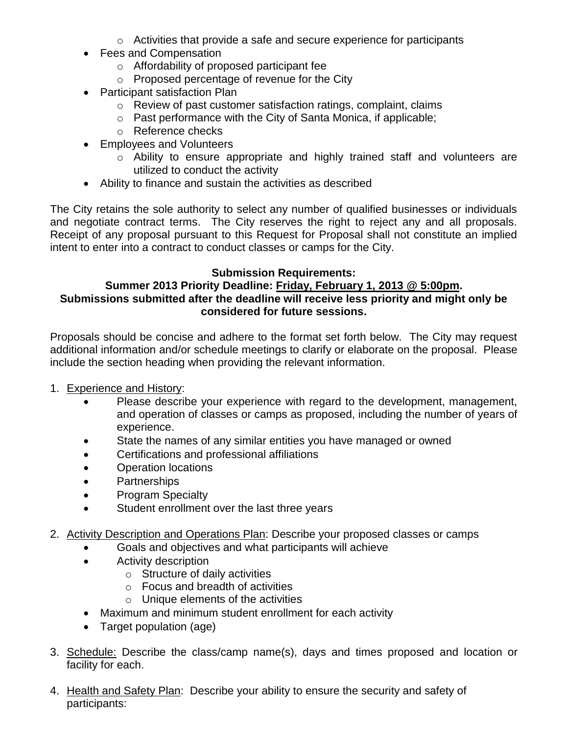- $\circ$  Activities that provide a safe and secure experience for participants
- Fees and Compensation
	- o Affordability of proposed participant fee
	- o Proposed percentage of revenue for the City
- Participant satisfaction Plan
	- o Review of past customer satisfaction ratings, complaint, claims
	- o Past performance with the City of Santa Monica, if applicable;
	- o Reference checks
- Employees and Volunteers
	- o Ability to ensure appropriate and highly trained staff and volunteers are utilized to conduct the activity
- Ability to finance and sustain the activities as described

The City retains the sole authority to select any number of qualified businesses or individuals and negotiate contract terms. The City reserves the right to reject any and all proposals. Receipt of any proposal pursuant to this Request for Proposal shall not constitute an implied intent to enter into a contract to conduct classes or camps for the City.

## **Submission Requirements:**

## **Summer 2013 Priority Deadline: Friday, February 1, 2013 @ 5:00pm. Submissions submitted after the deadline will receive less priority and might only be considered for future sessions.**

Proposals should be concise and adhere to the format set forth below. The City may request additional information and/or schedule meetings to clarify or elaborate on the proposal. Please include the section heading when providing the relevant information.

- 1. Experience and History:
	- Please describe your experience with regard to the development, management, and operation of classes or camps as proposed, including the number of years of experience.
	- State the names of any similar entities you have managed or owned
	- Certifications and professional affiliations
	- Operation locations
	- Partnerships
	- Program Specialty
	- Student enrollment over the last three years
- 2. Activity Description and Operations Plan: Describe your proposed classes or camps
	- Goals and objectives and what participants will achieve
	- Activity description
		- $\circ$  Structure of daily activities
		- o Focus and breadth of activities
		- $\circ$  Unique elements of the activities
	- Maximum and minimum student enrollment for each activity
	- Target population (age)
- 3. Schedule: Describe the class/camp name(s), days and times proposed and location or facility for each.
- 4. Health and Safety Plan: Describe your ability to ensure the security and safety of participants: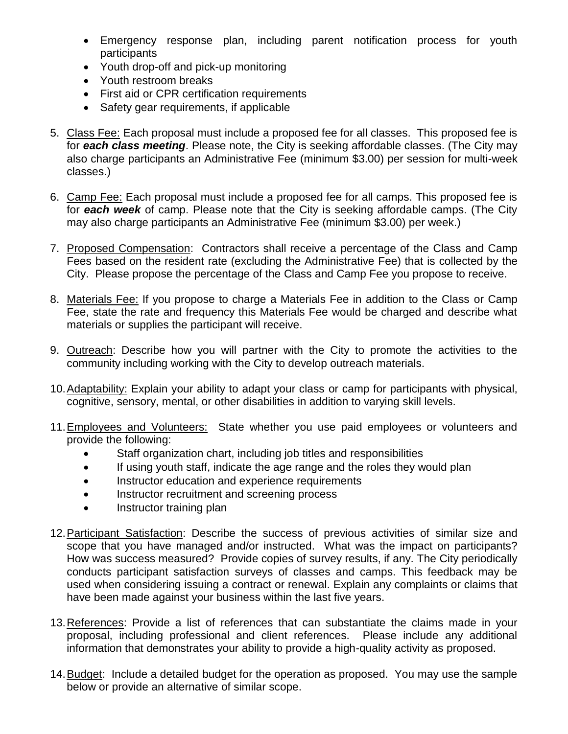- Emergency response plan, including parent notification process for youth participants
- Youth drop-off and pick-up monitoring
- Youth restroom breaks
- First aid or CPR certification requirements
- Safety gear requirements, if applicable
- 5. Class Fee: Each proposal must include a proposed fee for all classes. This proposed fee is for *each class meeting*. Please note, the City is seeking affordable classes. (The City may also charge participants an Administrative Fee (minimum \$3.00) per session for multi-week classes.)
- 6. Camp Fee: Each proposal must include a proposed fee for all camps. This proposed fee is for *each week* of camp. Please note that the City is seeking affordable camps. (The City may also charge participants an Administrative Fee (minimum \$3.00) per week.)
- 7. Proposed Compensation: Contractors shall receive a percentage of the Class and Camp Fees based on the resident rate (excluding the Administrative Fee) that is collected by the City. Please propose the percentage of the Class and Camp Fee you propose to receive.
- 8. Materials Fee: If you propose to charge a Materials Fee in addition to the Class or Camp Fee, state the rate and frequency this Materials Fee would be charged and describe what materials or supplies the participant will receive.
- 9. Outreach: Describe how you will partner with the City to promote the activities to the community including working with the City to develop outreach materials.
- 10.Adaptability: Explain your ability to adapt your class or camp for participants with physical, cognitive, sensory, mental, or other disabilities in addition to varying skill levels.
- 11. Employees and Volunteers: State whether you use paid employees or volunteers and provide the following:
	- Staff organization chart, including job titles and responsibilities
	- If using youth staff, indicate the age range and the roles they would plan
	- Instructor education and experience requirements
	- Instructor recruitment and screening process
	- Instructor training plan
- 12. Participant Satisfaction: Describe the success of previous activities of similar size and scope that you have managed and/or instructed. What was the impact on participants? How was success measured? Provide copies of survey results, if any. The City periodically conducts participant satisfaction surveys of classes and camps. This feedback may be used when considering issuing a contract or renewal. Explain any complaints or claims that have been made against your business within the last five years.
- 13.References: Provide a list of references that can substantiate the claims made in your proposal, including professional and client references. Please include any additional information that demonstrates your ability to provide a high-quality activity as proposed.
- 14.Budget: Include a detailed budget for the operation as proposed. You may use the sample below or provide an alternative of similar scope.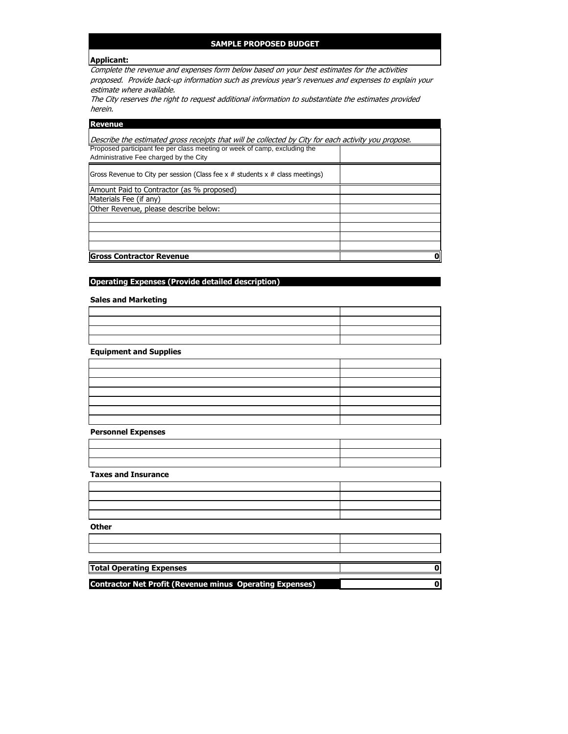#### **SAMPLE PROPOSED BUDGET**

#### **Applicant:**

Complete the revenue and expenses form below based on your best estimates for the activities proposed. Provide back-up information such as previous year's revenues and expenses to explain your estimate where available.

The City reserves the right to request additional information to substantiate the estimates provided herein.

| <b>Revenue</b>                                                                                                      |  |
|---------------------------------------------------------------------------------------------------------------------|--|
| Describe the estimated gross receipts that will be collected by City for each activity you propose.                 |  |
| Proposed participant fee per class meeting or week of camp, excluding the<br>Administrative Fee charged by the City |  |
| Gross Revenue to City per session (Class fee $x \#$ students $x \#$ class meetings)                                 |  |
| Amount Paid to Contractor (as % proposed)                                                                           |  |
| Materials Fee (if any)                                                                                              |  |
| Other Revenue, please describe below:                                                                               |  |
|                                                                                                                     |  |
|                                                                                                                     |  |
|                                                                                                                     |  |
|                                                                                                                     |  |
| <b>Gross Contractor Revenue</b>                                                                                     |  |

#### **Operating Expenses (Provide detailed description)**

**Sales and Marketing**

**Equipment and Supplies**

| <u> 1989 - Johann Barn, amerikan bernama di sebagai bernama dan bernama di sebagai bernama di sebagai bernama di</u> |  |
|----------------------------------------------------------------------------------------------------------------------|--|
| <u> 1989 - Johann Stoff, amerikansk politiker (d. 1989)</u>                                                          |  |
|                                                                                                                      |  |
| the control of the control of the control of the control of the control of the control of                            |  |
|                                                                                                                      |  |
|                                                                                                                      |  |
|                                                                                                                      |  |

**Personnel Expenses**

**Taxes and Insurance**

**Other** 

| <b>Total Operating Expenses</b> |  |
|---------------------------------|--|
|                                 |  |

**Contractor Net Profit (Revenue minus Operating Expenses) 0**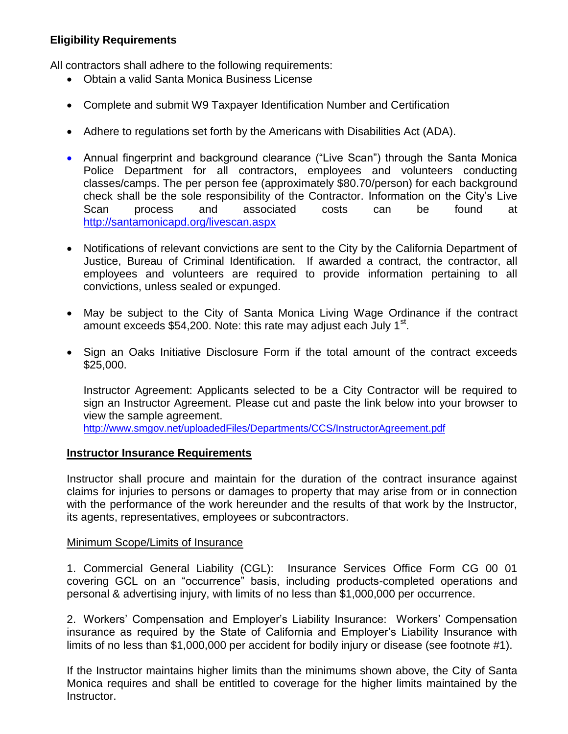# **Eligibility Requirements**

All contractors shall adhere to the following requirements:

- Obtain a valid Santa Monica Business License
- Complete and submit W9 Taxpayer Identification Number and Certification
- Adhere to regulations set forth by the Americans with Disabilities Act (ADA).
- Annual fingerprint and background clearance ("Live Scan") through the Santa Monica Police Department for all contractors, employees and volunteers conducting classes/camps. The per person fee (approximately \$80.70/person) for each background check shall be the sole responsibility of the Contractor. Information on the City's Live Scan process and associated costs can be found at <http://santamonicapd.org/livescan.aspx>
- Notifications of relevant convictions are sent to the City by the California Department of Justice, Bureau of Criminal Identification. If awarded a contract, the contractor, all employees and volunteers are required to provide information pertaining to all convictions, unless sealed or expunged.
- May be subject to the City of Santa Monica Living Wage Ordinance if the contract amount exceeds \$54,200. Note: this rate may adjust each July 1<sup>st</sup>.
- Sign an Oaks Initiative Disclosure Form if the total amount of the contract exceeds \$25,000.

Instructor Agreement: Applicants selected to be a City Contractor will be required to sign an Instructor Agreement. Please cut and paste the link below into your browser to view the sample agreement.

<http://www.smgov.net/uploadedFiles/Departments/CCS/InstructorAgreement.pdf>

## **Instructor Insurance Requirements**

Instructor shall procure and maintain for the duration of the contract insurance against claims for injuries to persons or damages to property that may arise from or in connection with the performance of the work hereunder and the results of that work by the Instructor, its agents, representatives, employees or subcontractors.

## Minimum Scope/Limits of Insurance

1. Commercial General Liability (CGL): Insurance Services Office Form CG 00 01 covering GCL on an "occurrence" basis, including products-completed operations and personal & advertising injury, with limits of no less than \$1,000,000 per occurrence.

2. Workers' Compensation and Employer's Liability Insurance: Workers' Compensation insurance as required by the State of California and Employer's Liability Insurance with limits of no less than \$1,000,000 per accident for bodily injury or disease (see footnote #1).

If the Instructor maintains higher limits than the minimums shown above, the City of Santa Monica requires and shall be entitled to coverage for the higher limits maintained by the Instructor.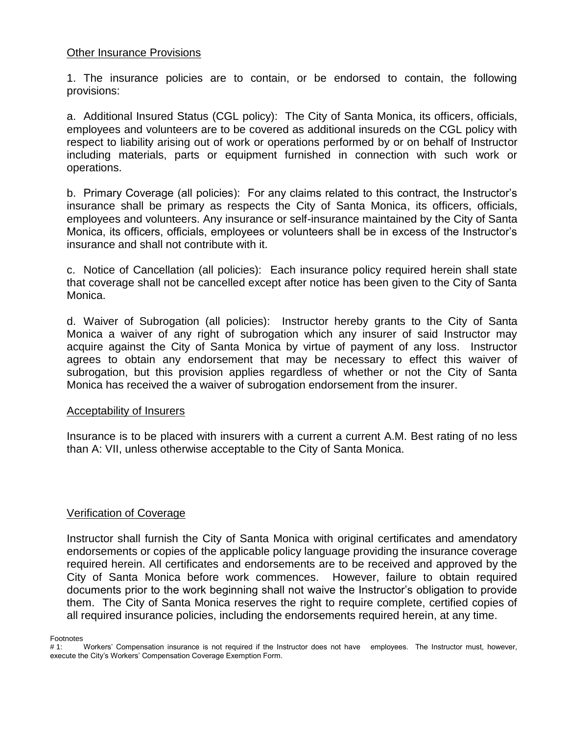#### Other Insurance Provisions

1. The insurance policies are to contain, or be endorsed to contain, the following provisions:

a. Additional Insured Status (CGL policy): The City of Santa Monica, its officers, officials, employees and volunteers are to be covered as additional insureds on the CGL policy with respect to liability arising out of work or operations performed by or on behalf of Instructor including materials, parts or equipment furnished in connection with such work or operations.

b. Primary Coverage (all policies): For any claims related to this contract, the Instructor's insurance shall be primary as respects the City of Santa Monica, its officers, officials, employees and volunteers. Any insurance or self-insurance maintained by the City of Santa Monica, its officers, officials, employees or volunteers shall be in excess of the Instructor's insurance and shall not contribute with it.

c. Notice of Cancellation (all policies): Each insurance policy required herein shall state that coverage shall not be cancelled except after notice has been given to the City of Santa Monica.

d. Waiver of Subrogation (all policies): Instructor hereby grants to the City of Santa Monica a waiver of any right of subrogation which any insurer of said Instructor may acquire against the City of Santa Monica by virtue of payment of any loss. Instructor agrees to obtain any endorsement that may be necessary to effect this waiver of subrogation, but this provision applies regardless of whether or not the City of Santa Monica has received the a waiver of subrogation endorsement from the insurer.

#### Acceptability of Insurers

Insurance is to be placed with insurers with a current a current A.M. Best rating of no less than A: VII, unless otherwise acceptable to the City of Santa Monica.

#### Verification of Coverage

Instructor shall furnish the City of Santa Monica with original certificates and amendatory endorsements or copies of the applicable policy language providing the insurance coverage required herein. All certificates and endorsements are to be received and approved by the City of Santa Monica before work commences. However, failure to obtain required documents prior to the work beginning shall not waive the Instructor's obligation to provide them. The City of Santa Monica reserves the right to require complete, certified copies of all required insurance policies, including the endorsements required herein, at any time.

Footnotes

<sup># 1:</sup> Workers' Compensation insurance is not required if the Instructor does not have employees. The Instructor must, however, execute the City's Workers' Compensation Coverage Exemption Form.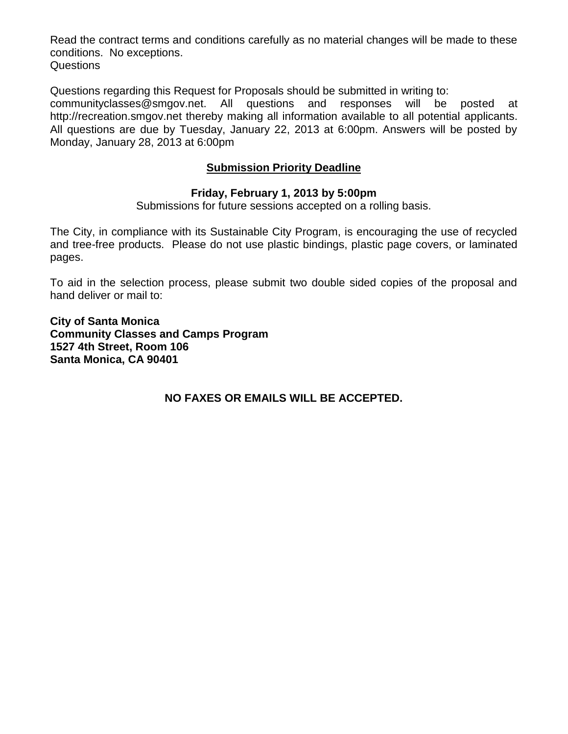Read the contract terms and conditions carefully as no material changes will be made to these conditions. No exceptions. Questions

Questions regarding this Request for Proposals should be submitted in writing to:

communityclasses@smgov.net. All questions and responses will be posted at http://recreation.smgov.net thereby making all information available to all potential applicants. All questions are due by Tuesday, January 22, 2013 at 6:00pm. Answers will be posted by Monday, January 28, 2013 at 6:00pm

# **Submission Priority Deadline**

## **Friday, February 1, 2013 by 5:00pm**

Submissions for future sessions accepted on a rolling basis.

The City, in compliance with its Sustainable City Program, is encouraging the use of recycled and tree-free products. Please do not use plastic bindings, plastic page covers, or laminated pages.

To aid in the selection process, please submit two double sided copies of the proposal and hand deliver or mail to:

**City of Santa Monica Community Classes and Camps Program 1527 4th Street, Room 106 Santa Monica, CA 90401**

**NO FAXES OR EMAILS WILL BE ACCEPTED.**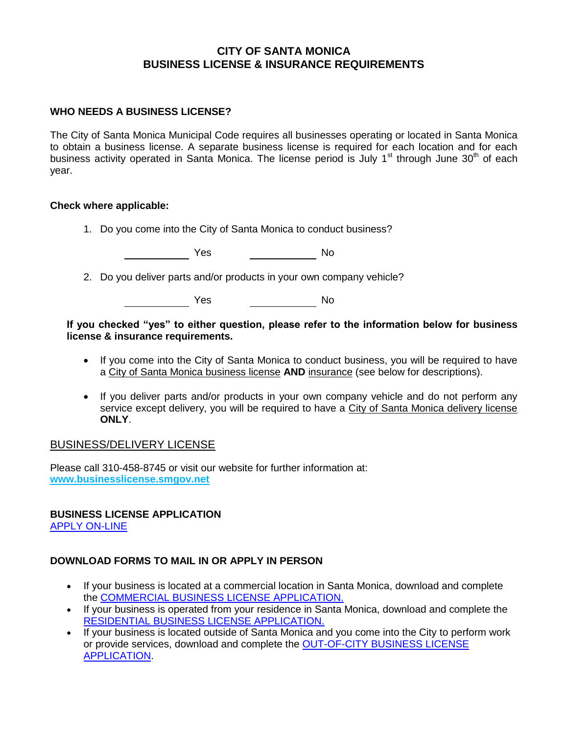#### **CITY OF SANTA MONICA BUSINESS LICENSE & INSURANCE REQUIREMENTS**

#### **WHO NEEDS A BUSINESS LICENSE?**

The City of Santa Monica Municipal Code requires all businesses operating or located in Santa Monica to obtain a business license. A separate business license is required for each location and for each business activity operated in Santa Monica. The license period is July 1<sup>st</sup> through June 30<sup>th</sup> of each year.

#### **Check where applicable:**

1. Do you come into the City of Santa Monica to conduct business?

Yes No

2. Do you deliver parts and/or products in your own company vehicle?

**The Second Second Second Second Second Second Second Second Second Second Second Second Second Second Second Second Second Second Second Second Second Second Second Second Second Second Second Second Second Second Second** 

**If you checked "yes" to either question, please refer to the information below for business license & insurance requirements.**

- If you come into the City of Santa Monica to conduct business, you will be required to have a City of Santa Monica business license **AND** insurance (see below for descriptions).
- If you deliver parts and/or products in your own company vehicle and do not perform any service except delivery, you will be required to have a City of Santa Monica delivery license **ONLY**.

#### BUSINESS/DELIVERY LICENSE

Please call 310-458-8745 or visit our website for further information at: **[www.businesslicense.smgov.net](http://www.businesslicense.smgov.net/)**

## **BUSINESS LICENSE APPLICATION**

[APPLY ON-LINE](https://lforms.smgov.net/cgi-bin/bla/bla.pl) 

# **DOWNLOAD FORMS TO MAIL IN OR APPLY IN PERSON**

- If your business is located at a commercial location in Santa Monica, download and complete the [COMMERCIAL BUSINESS LICENSE APPLICATION.](http://www.smgov.net/uploadedFiles/Departments/Finance/buslic/Application%20-%2007-01-2010-COMMERCIAL%20LOC%20fillable.pdf)
- If your business is operated from your residence in Santa Monica, download and complete the [RESIDENTIAL BUSINESS LICENSE APPLICATION.](http://www.smgov.net/uploadedFiles/Departments/Finance/buslic/Application%20-%2007-01-2010-RESIDENTIAL%20LOC%20fillable.pdf)
- If your business is located outside of Santa Monica and you come into the City to perform work or provide services, download and complete the [OUT-OF-CITY BUSINESS LICENSE](http://www.smgov.net/uploadedFiles/Departments/Finance/buslic/Application%20-%2007-01-2010%20OC-GENERIC%20fillable.pdf)  [APPLICATION.](http://www.smgov.net/uploadedFiles/Departments/Finance/buslic/Application%20-%2007-01-2010%20OC-GENERIC%20fillable.pdf)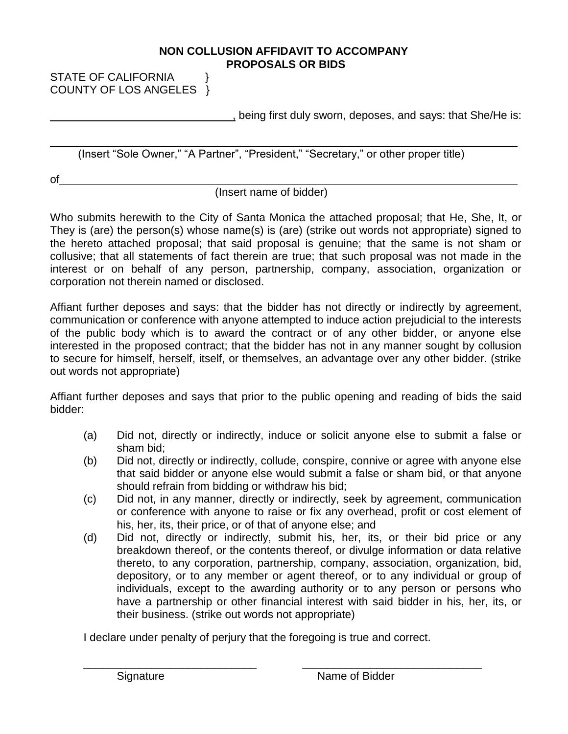#### **NON COLLUSION AFFIDAVIT TO ACCOMPANY PROPOSALS OR BIDS**

STATE OF CALIFORNIA } COUNTY OF LOS ANGELES }

, being first duly sworn, deposes, and says: that She/He is:

(Insert "Sole Owner," "A Partner", "President," "Secretary," or other proper title)

of

# (Insert name of bidder)

Who submits herewith to the City of Santa Monica the attached proposal; that He, She, It, or They is (are) the person(s) whose name(s) is (are) (strike out words not appropriate) signed to the hereto attached proposal; that said proposal is genuine; that the same is not sham or collusive; that all statements of fact therein are true; that such proposal was not made in the interest or on behalf of any person, partnership, company, association, organization or corporation not therein named or disclosed.

Affiant further deposes and says: that the bidder has not directly or indirectly by agreement, communication or conference with anyone attempted to induce action prejudicial to the interests of the public body which is to award the contract or of any other bidder, or anyone else interested in the proposed contract; that the bidder has not in any manner sought by collusion to secure for himself, herself, itself, or themselves, an advantage over any other bidder. (strike out words not appropriate)

Affiant further deposes and says that prior to the public opening and reading of bids the said bidder:

- (a) Did not, directly or indirectly, induce or solicit anyone else to submit a false or sham bid;
- (b) Did not, directly or indirectly, collude, conspire, connive or agree with anyone else that said bidder or anyone else would submit a false or sham bid, or that anyone should refrain from bidding or withdraw his bid;
- (c) Did not, in any manner, directly or indirectly, seek by agreement, communication or conference with anyone to raise or fix any overhead, profit or cost element of his, her, its, their price, or of that of anyone else; and
- (d) Did not, directly or indirectly, submit his, her, its, or their bid price or any breakdown thereof, or the contents thereof, or divulge information or data relative thereto, to any corporation, partnership, company, association, organization, bid, depository, or to any member or agent thereof, or to any individual or group of individuals, except to the awarding authority or to any person or persons who have a partnership or other financial interest with said bidder in his, her, its, or their business. (strike out words not appropriate)

I declare under penalty of perjury that the foregoing is true and correct.

\_\_\_\_\_\_\_\_\_\_\_\_\_\_\_\_\_\_\_\_\_\_\_\_\_\_\_\_ \_\_\_\_\_\_\_\_\_\_\_\_\_\_\_\_\_\_\_\_\_\_\_\_\_\_\_\_\_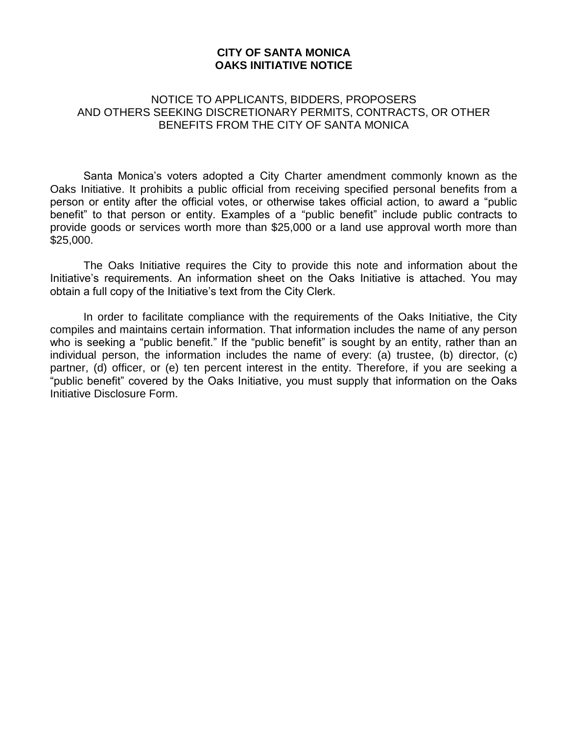#### **CITY OF SANTA MONICA OAKS INITIATIVE NOTICE**

#### NOTICE TO APPLICANTS, BIDDERS, PROPOSERS AND OTHERS SEEKING DISCRETIONARY PERMITS, CONTRACTS, OR OTHER BENEFITS FROM THE CITY OF SANTA MONICA

Santa Monica's voters adopted a City Charter amendment commonly known as the Oaks Initiative. It prohibits a public official from receiving specified personal benefits from a person or entity after the official votes, or otherwise takes official action, to award a "public benefit" to that person or entity. Examples of a "public benefit" include public contracts to provide goods or services worth more than \$25,000 or a land use approval worth more than \$25,000.

The Oaks Initiative requires the City to provide this note and information about the Initiative's requirements. An information sheet on the Oaks Initiative is attached. You may obtain a full copy of the Initiative's text from the City Clerk.

In order to facilitate compliance with the requirements of the Oaks Initiative, the City compiles and maintains certain information. That information includes the name of any person who is seeking a "public benefit." If the "public benefit" is sought by an entity, rather than an individual person, the information includes the name of every: (a) trustee, (b) director, (c) partner, (d) officer, or (e) ten percent interest in the entity. Therefore, if you are seeking a "public benefit" covered by the Oaks Initiative, you must supply that information on the Oaks Initiative Disclosure Form.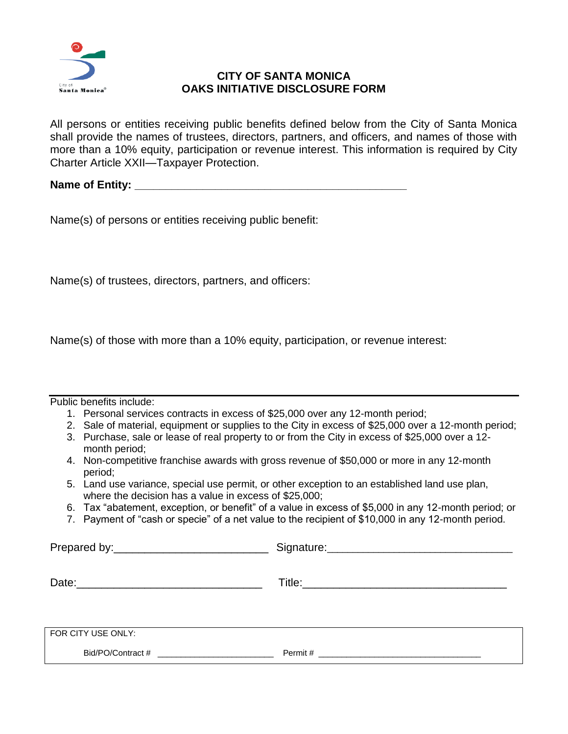

# **CITY OF SANTA MONICA OAKS INITIATIVE DISCLOSURE FORM**

All persons or entities receiving public benefits defined below from the City of Santa Monica shall provide the names of trustees, directors, partners, and officers, and names of those with more than a 10% equity, participation or revenue interest. This information is required by City Charter Article XXII—Taxpayer Protection.

**Name of Entity: \_\_\_\_\_\_\_\_\_\_\_\_\_\_\_\_\_\_\_\_\_\_\_\_\_\_\_\_\_\_\_\_\_\_\_\_\_\_\_\_\_\_\_\_**

Name(s) of persons or entities receiving public benefit:

Name(s) of trustees, directors, partners, and officers:

Name(s) of those with more than a 10% equity, participation, or revenue interest:

| Public benefits include: |  |
|--------------------------|--|
|--------------------------|--|

- 1. Personal services contracts in excess of \$25,000 over any 12-month period;
- 2. Sale of material, equipment or supplies to the City in excess of \$25,000 over a 12-month period;
- 3. Purchase, sale or lease of real property to or from the City in excess of \$25,000 over a 12 month period;
- 4. Non-competitive franchise awards with gross revenue of \$50,000 or more in any 12-month period;
- 5. Land use variance, special use permit, or other exception to an established land use plan, where the decision has a value in excess of \$25,000;
- 6. Tax "abatement, exception, or benefit" of a value in excess of \$5,000 in any 12-month period; or
- 7. Payment of "cash or specie" of a net value to the recipient of \$10,000 in any 12-month period.

Prepared by:\_\_\_\_\_\_\_\_\_\_\_\_\_\_\_\_\_\_\_\_\_\_\_\_\_ Signature:\_\_\_\_\_\_\_\_\_\_\_\_\_\_\_\_\_\_\_\_\_\_\_\_\_\_\_\_\_\_\_\_\_\_\_\_

Date:\_\_\_\_\_\_\_\_\_\_\_\_\_\_\_\_\_\_\_\_\_\_\_\_\_\_\_\_\_\_ Title:\_\_\_\_\_\_\_\_\_\_\_\_\_\_\_\_\_\_\_\_\_\_\_\_\_\_\_\_\_\_\_\_\_

FOR CITY USE ONLY: Bid/PO/Contract # \_\_\_\_\_\_\_\_\_\_\_\_\_\_\_\_\_\_\_\_\_\_\_\_\_ Permit # \_\_\_\_\_\_\_\_\_\_\_\_\_\_\_\_\_\_\_\_\_\_\_\_\_\_\_\_\_\_\_\_\_\_\_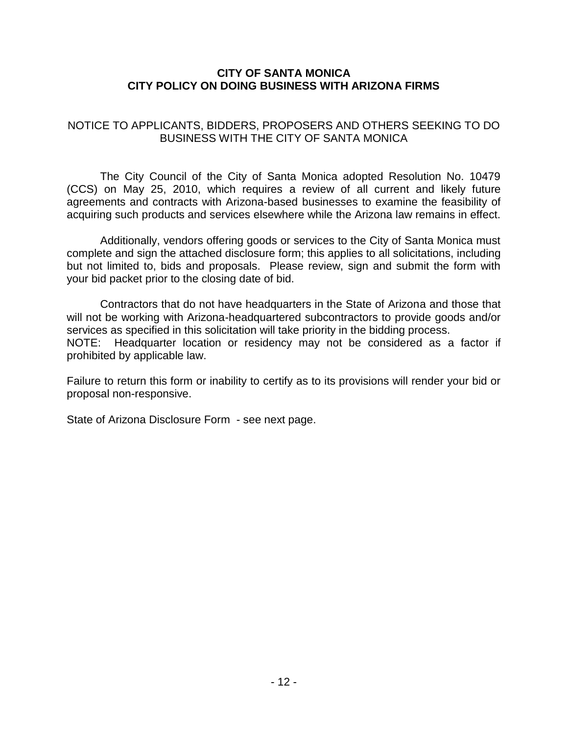## **CITY OF SANTA MONICA CITY POLICY ON DOING BUSINESS WITH ARIZONA FIRMS**

# NOTICE TO APPLICANTS, BIDDERS, PROPOSERS AND OTHERS SEEKING TO DO BUSINESS WITH THE CITY OF SANTA MONICA

The City Council of the City of Santa Monica adopted Resolution No. 10479 (CCS) on May 25, 2010, which requires a review of all current and likely future agreements and contracts with Arizona-based businesses to examine the feasibility of acquiring such products and services elsewhere while the Arizona law remains in effect.

Additionally, vendors offering goods or services to the City of Santa Monica must complete and sign the attached disclosure form; this applies to all solicitations, including but not limited to, bids and proposals. Please review, sign and submit the form with your bid packet prior to the closing date of bid.

Contractors that do not have headquarters in the State of Arizona and those that will not be working with Arizona-headquartered subcontractors to provide goods and/or services as specified in this solicitation will take priority in the bidding process. NOTE: Headquarter location or residency may not be considered as a factor if prohibited by applicable law.

Failure to return this form or inability to certify as to its provisions will render your bid or proposal non-responsive.

State of Arizona Disclosure Form - see next page.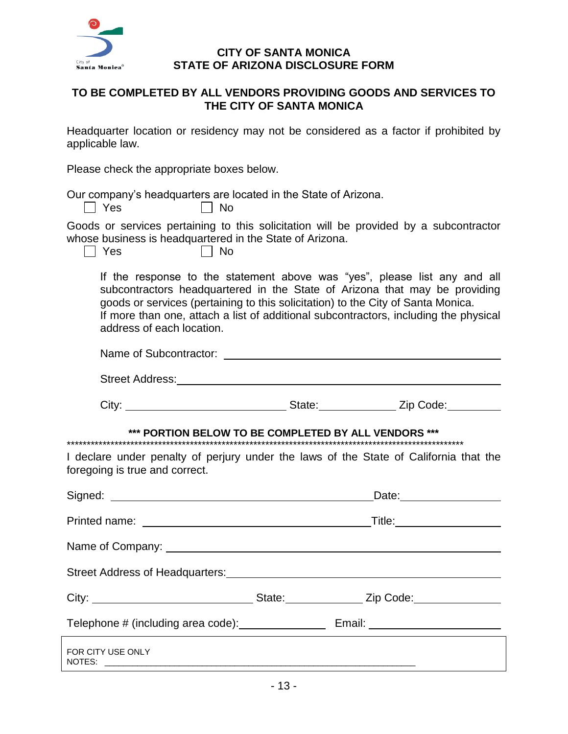

#### **CITY OF SANTA MONICA STATE OF ARIZONA DISCLOSURE FORM**

# **TO BE COMPLETED BY ALL VENDORS PROVIDING GOODS AND SERVICES TO THE CITY OF SANTA MONICA**

Headquarter location or residency may not be considered as a factor if prohibited by applicable law.

Please check the appropriate boxes below.

Our company's headquarters are located in the State of Arizona.

| No |  |
|----|--|
|----|--|

Goods or services pertaining to this solicitation will be provided by a subcontractor whose business is headquartered in the State of Arizona.

 $\Box$  Yes

 $\Box$  Yes

| ۰.<br>W<br>i |  |
|--------------|--|
|--------------|--|

If the response to the statement above was "yes", please list any and all subcontractors headquartered in the State of Arizona that may be providing goods or services (pertaining to this solicitation) to the City of Santa Monica. If more than one, attach a list of additional subcontractors, including the physical address of each location.

| Name of Subcontractor: |  |
|------------------------|--|
|                        |  |

Street Address: No. 2020 Street Address:

City: City: City: City: City: City: City: City: City: City: City: City: City: Code: City: City: City: City: City: City: City: City: City: City: City: City: City: City: City: City: City: City: City: City: City: City: City:

# **\*\*\* PORTION BELOW TO BE COMPLETED BY ALL VENDORS \*\*\***

\*\*\*\*\*\*\*\*\*\*\*\*\*\*\*\*\*\*\*\*\*\*\*\*\*\*\*\*\*\*\*\*\*\*\*\*\*\*\*\*\*\*\*\*\*\*\*\*\*\*\*\*\*\*\*\*\*\*\*\*\*\*\*\*\*\*\*\*\*\*\*\*\*\*\*\*\*\*\*\*\*\*\*\*\*\*\*\*\*\*\*\*\*\*\*\*\*\*\*\*

I declare under penalty of perjury under the laws of the State of California that the foregoing is true and correct.

|                                                    | _Title:_____________________      |
|----------------------------------------------------|-----------------------------------|
|                                                    |                                   |
|                                                    |                                   |
|                                                    |                                   |
| Telephone # (including area code): _______________ | Email: __________________________ |
| FOR CITY USE ONLY                                  |                                   |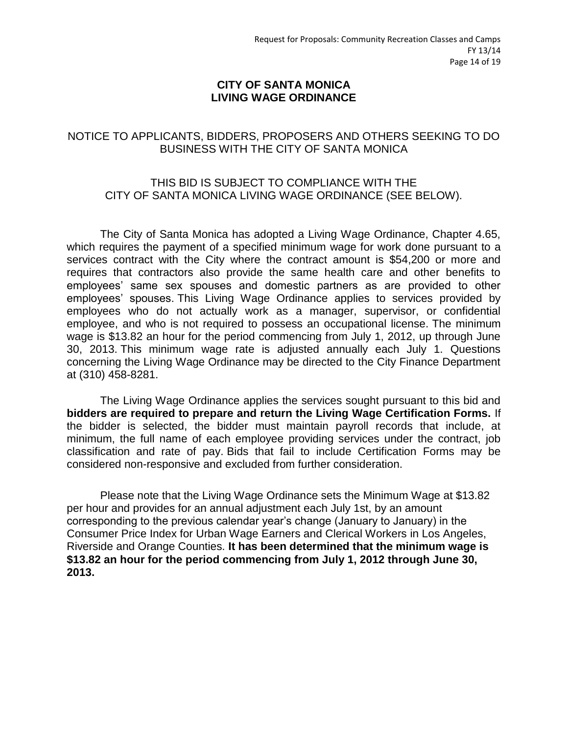#### **CITY OF SANTA MONICA LIVING WAGE ORDINANCE**

# NOTICE TO APPLICANTS, BIDDERS, PROPOSERS AND OTHERS SEEKING TO DO BUSINESS WITH THE CITY OF SANTA MONICA

#### THIS BID IS SUBJECT TO COMPLIANCE WITH THE CITY OF SANTA MONICA LIVING WAGE ORDINANCE (SEE BELOW).

The City of Santa Monica has adopted a Living Wage Ordinance, Chapter 4.65, which requires the payment of a specified minimum wage for work done pursuant to a services contract with the City where the contract amount is \$54,200 or more and requires that contractors also provide the same health care and other benefits to employees' same sex spouses and domestic partners as are provided to other employees' spouses. This Living Wage Ordinance applies to services provided by employees who do not actually work as a manager, supervisor, or confidential employee, and who is not required to possess an occupational license. The minimum wage is \$13.82 an hour for the period commencing from July 1, 2012, up through June 30, 2013. This minimum wage rate is adjusted annually each July 1. Questions concerning the Living Wage Ordinance may be directed to the City Finance Department at (310) 458-8281.

The Living Wage Ordinance applies the services sought pursuant to this bid and **bidders are required to prepare and return the Living Wage Certification Forms.** If the bidder is selected, the bidder must maintain payroll records that include, at minimum, the full name of each employee providing services under the contract, job classification and rate of pay. Bids that fail to include Certification Forms may be considered non-responsive and excluded from further consideration.

Please note that the Living Wage Ordinance sets the Minimum Wage at \$13.82 per hour and provides for an annual adjustment each July 1st, by an amount corresponding to the previous calendar year's change (January to January) in the Consumer Price Index for Urban Wage Earners and Clerical Workers in Los Angeles, Riverside and Orange Counties. **It has been determined that the minimum wage is \$13.82 an hour for the period commencing from July 1, 2012 through June 30, 2013.**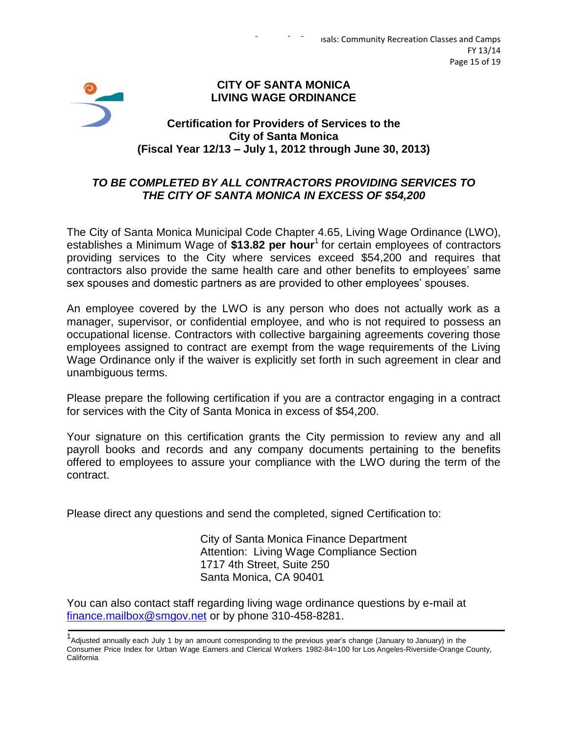#### **CITY OF SANTA MONICA LIVING WAGE ORDINANCE**

# **Certification for Providers of Services to the City of Santa Monica (Fiscal Year 12/13 – July 1, 2012 through June 30, 2013)**

# *TO BE COMPLETED BY ALL CONTRACTORS PROVIDING SERVICES TO THE CITY OF SANTA MONICA IN EXCESS OF \$54,200*

The City of Santa Monica Municipal Code Chapter 4.65, Living Wage Ordinance (LWO), establishes a Minimum Wage of \$13.82 per hour<sup>1</sup> for certain employees of contractors providing services to the City where services exceed \$54,200 and requires that contractors also provide the same health care and other benefits to employees' same sex spouses and domestic partners as are provided to other employees' spouses.

An employee covered by the LWO is any person who does not actually work as a manager, supervisor, or confidential employee, and who is not required to possess an occupational license. Contractors with collective bargaining agreements covering those employees assigned to contract are exempt from the wage requirements of the Living Wage Ordinance only if the waiver is explicitly set forth in such agreement in clear and unambiguous terms.

Please prepare the following certification if you are a contractor engaging in a contract for services with the City of Santa Monica in excess of \$54,200.

Your signature on this certification grants the City permission to review any and all payroll books and records and any company documents pertaining to the benefits offered to employees to assure your compliance with the LWO during the term of the contract.

Please direct any questions and send the completed, signed Certification to:

City of Santa Monica Finance Department Attention: Living Wage Compliance Section 1717 4th Street, Suite 250 Santa Monica, CA 90401

You can also contact staff regarding living wage ordinance questions by e-mail at [finance.mailbox@smgov.net](mailto:finance.mailbox@smgov.net) or by phone 310-458-8281.

<sup>1&</sup>lt;br>Adjusted annually each July 1 by an amount corresponding to the previous year's change (January to January) in the Consumer Price Index for Urban Wage Earners and Clerical Workers 1982-84=100 for Los Angeles-Riverside-Orange County, California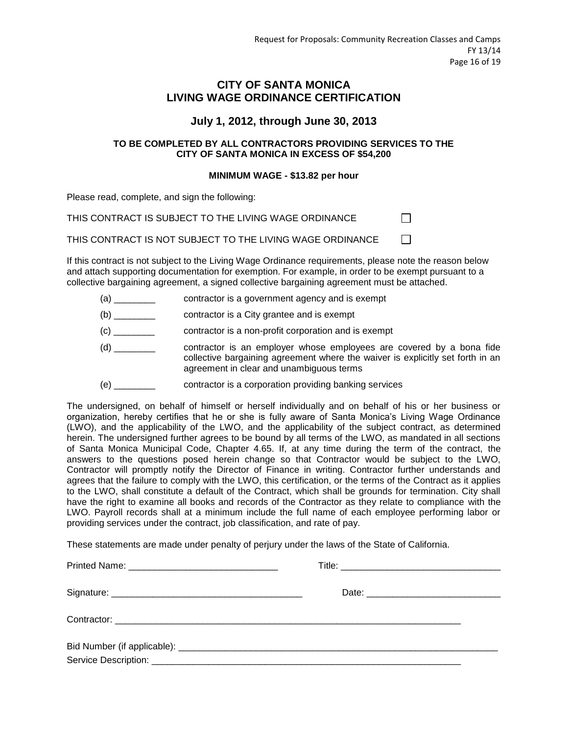П

 $\Box$ 

#### **CITY OF SANTA MONICA LIVING WAGE ORDINANCE CERTIFICATION**

#### **July 1, 2012, through June 30, 2013**

#### **TO BE COMPLETED BY ALL CONTRACTORS PROVIDING SERVICES TO THE CITY OF SANTA MONICA IN EXCESS OF \$54,200**

#### **MINIMUM WAGE - \$13.82 per hour**

Please read, complete, and sign the following:

THIS CONTRACT IS SUBJECT TO THE LIVING WAGE ORDINANCE

THIS CONTRACT IS NOT SUBJECT TO THE LIVING WAGE ORDINANCE

If this contract is not subject to the Living Wage Ordinance requirements, please note the reason below and attach supporting documentation for exemption. For example, in order to be exempt pursuant to a collective bargaining agreement, a signed collective bargaining agreement must be attached.

- (a) \_\_\_\_\_\_\_\_ contractor is a government agency and is exempt
- (b) \_\_\_\_\_\_\_\_ contractor is a City grantee and is exempt
- (c) \_\_\_\_\_\_\_\_ contractor is a non-profit corporation and is exempt
- (d) \_\_\_\_\_\_\_\_ contractor is an employer whose employees are covered by a bona fide collective bargaining agreement where the waiver is explicitly set forth in an agreement in clear and unambiguous terms
- (e) \_\_\_\_\_\_\_\_ contractor is a corporation providing banking services

The undersigned, on behalf of himself or herself individually and on behalf of his or her business or organization, hereby certifies that he or she is fully aware of Santa Monica's Living Wage Ordinance (LWO), and the applicability of the LWO, and the applicability of the subject contract, as determined herein. The undersigned further agrees to be bound by all terms of the LWO, as mandated in all sections of Santa Monica Municipal Code, Chapter 4.65. If, at any time during the term of the contract, the answers to the questions posed herein change so that Contractor would be subject to the LWO, Contractor will promptly notify the Director of Finance in writing. Contractor further understands and agrees that the failure to comply with the LWO, this certification, or the terms of the Contract as it applies to the LWO, shall constitute a default of the Contract, which shall be grounds for termination. City shall have the right to examine all books and records of the Contractor as they relate to compliance with the LWO. Payroll records shall at a minimum include the full name of each employee performing labor or providing services under the contract, job classification, and rate of pay.

These statements are made under penalty of perjury under the laws of the State of California.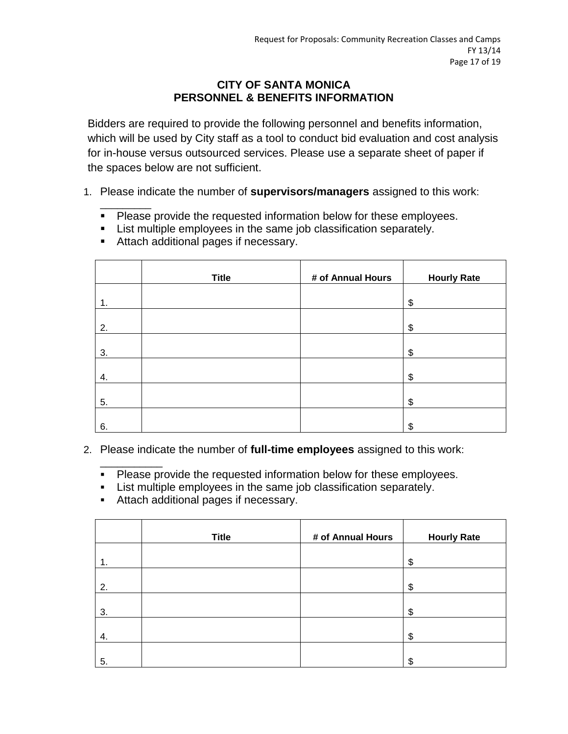# **CITY OF SANTA MONICA PERSONNEL & BENEFITS INFORMATION**

Bidders are required to provide the following personnel and benefits information, which will be used by City staff as a tool to conduct bid evaluation and cost analysis for in-house versus outsourced services. Please use a separate sheet of paper if the spaces below are not sufficient.

- 1. Please indicate the number of **supervisors/managers** assigned to this work:
	- \_\_\_\_\_\_\_\_\_ **Please provide the requested information below for these employees.**
	- **EXECT** List multiple employees in the same job classification separately.

|    | <b>Title</b> | # of Annual Hours | <b>Hourly Rate</b> |
|----|--------------|-------------------|--------------------|
| 1. |              |                   | \$                 |
| 2. |              |                   | \$                 |
| 3. |              |                   | \$                 |
| 4. |              |                   | \$                 |
| 5. |              |                   | \$                 |
| 6. |              |                   | \$                 |

**Attach additional pages if necessary.** 

- 2. Please indicate the number of **full-time employees** assigned to this work:
	- \_\_\_\_\_\_\_\_\_\_\_ **Please provide the requested information below for these employees.**
	- List multiple employees in the same job classification separately.
	- Attach additional pages if necessary.

|    | <b>Title</b> | # of Annual Hours | <b>Hourly Rate</b> |
|----|--------------|-------------------|--------------------|
|    |              |                   | \$                 |
| 2. |              |                   | \$                 |
| 3. |              |                   | \$                 |
| 4. |              |                   | \$                 |
| 5. |              |                   | \$                 |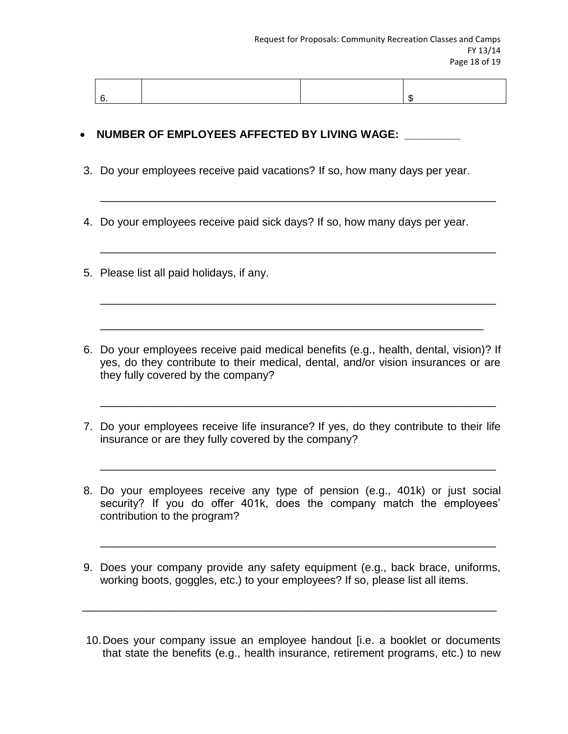\_\_\_\_\_\_\_\_\_\_\_\_\_\_\_\_\_\_\_\_\_\_\_\_\_\_\_\_\_\_\_\_\_\_\_\_\_\_\_\_\_\_\_\_\_\_\_\_\_\_\_\_\_\_\_\_\_\_\_\_\_\_\_\_

\_\_\_\_\_\_\_\_\_\_\_\_\_\_\_\_\_\_\_\_\_\_\_\_\_\_\_\_\_\_\_\_\_\_\_\_\_\_\_\_\_\_\_\_\_\_\_\_\_\_\_\_\_\_\_\_\_\_\_\_\_\_\_\_

\_\_\_\_\_\_\_\_\_\_\_\_\_\_\_\_\_\_\_\_\_\_\_\_\_\_\_\_\_\_\_\_\_\_\_\_\_\_\_\_\_\_\_\_\_\_\_\_\_\_\_\_\_\_\_\_\_\_\_\_\_\_\_\_

#### • NUMBER OF EMPLOYEES AFFECTED BY LIVING WAGE:

- 3. Do your employees receive paid vacations? If so, how many days per year.
- 4. Do your employees receive paid sick days? If so, how many days per year.
- 5. Please list all paid holidays, if any.
- 6. Do your employees receive paid medical benefits (e.g., health, dental, vision)? If yes, do they contribute to their medical, dental, and/or vision insurances or are they fully covered by the company?
- 7. Do your employees receive life insurance? If yes, do they contribute to their life insurance or are they fully covered by the company?

\_\_\_\_\_\_\_\_\_\_\_\_\_\_\_\_\_\_\_\_\_\_\_\_\_\_\_\_\_\_\_\_\_\_\_\_\_\_\_\_\_\_\_\_\_\_\_\_\_\_\_\_\_\_\_\_\_\_\_\_\_\_\_\_

\_\_\_\_\_\_\_\_\_\_\_\_\_\_\_\_\_\_\_\_\_\_\_\_\_\_\_\_\_\_\_\_\_\_\_\_\_\_\_\_\_\_\_\_\_\_\_\_\_\_\_\_\_\_\_\_\_\_\_\_\_\_\_\_

- 8. Do your employees receive any type of pension (e.g., 401k) or just social security? If you do offer 401k, does the company match the employees' contribution to the program?
- 9. Does your company provide any safety equipment (e.g., back brace, uniforms, working boots, goggles, etc.) to your employees? If so, please list all items.

 $\overline{\phantom{a}}$  , and the contribution of the contribution of the contribution of the contribution of the contribution of the contribution of the contribution of the contribution of the contribution of the contribution of the

\_\_\_\_\_\_\_\_\_\_\_\_\_\_\_\_\_\_\_\_\_\_\_\_\_\_\_\_\_\_\_\_\_\_\_\_\_\_\_\_\_\_\_\_\_\_\_\_\_\_\_\_\_\_\_\_\_\_\_\_\_\_\_\_

10.Does your company issue an employee handout [i.e. a booklet or documents that state the benefits (e.g., health insurance, retirement programs, etc.) to new